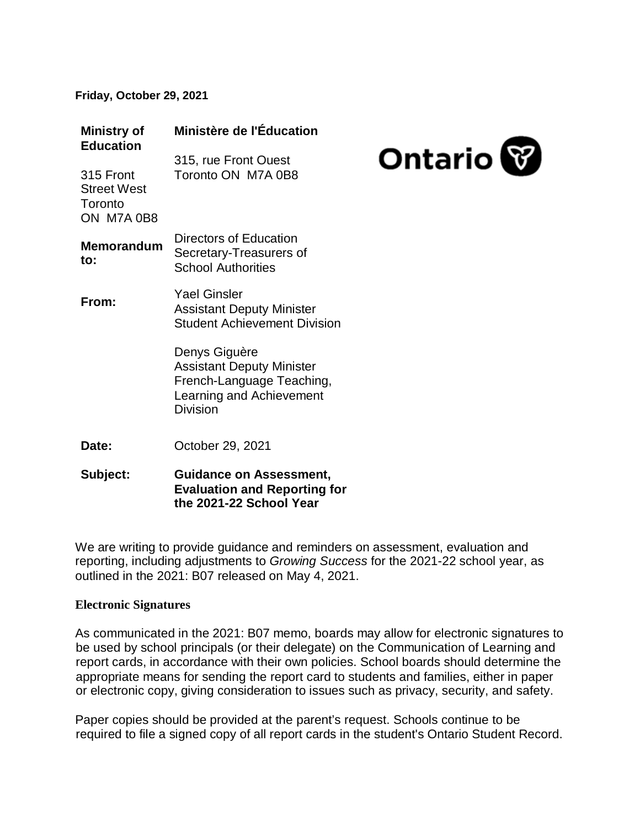**Friday, October 29, 2021** 

| <b>Ministry of</b><br><b>Education</b>                   | Ministère de l'Éducation                                                                                                      |                |
|----------------------------------------------------------|-------------------------------------------------------------------------------------------------------------------------------|----------------|
| 315 Front<br><b>Street West</b><br>Toronto<br>ON M7A 0B8 | 315, rue Front Ouest<br>Toronto ON M7A 0B8                                                                                    | <b>Ontario</b> |
| <b>Memorandum</b><br>to:                                 | Directors of Education<br>Secretary-Treasurers of<br><b>School Authorities</b>                                                |                |
| From:                                                    | <b>Yael Ginsler</b><br><b>Assistant Deputy Minister</b><br><b>Student Achievement Division</b>                                |                |
|                                                          | Denys Giguère<br><b>Assistant Deputy Minister</b><br>French-Language Teaching,<br>Learning and Achievement<br><b>Division</b> |                |
| Date:                                                    | October 29, 2021                                                                                                              |                |
| Subject:                                                 | <b>Guidance on Assessment,</b>                                                                                                |                |

**Evaluation and Reporting for the 2021-22 School Year**

We are writing to provide guidance and reminders on assessment, evaluation and reporting, including adjustments to *Growing Success* for the 2021-22 school year, as outlined in the 2021: B07 released on May 4, 2021.

#### **Electronic Signatures**

As communicated in the 2021: B07 memo, boards may allow for electronic signatures to be used by school principals (or their delegate) on the Communication of Learning and report cards, in accordance with their own policies. School boards should determine the appropriate means for sending the report card to students and families, either in paper or electronic copy, giving consideration to issues such as privacy, security, and safety.

Paper copies should be provided at the parent's request. Schools continue to be required to file a signed copy of all report cards in the student's Ontario Student Record.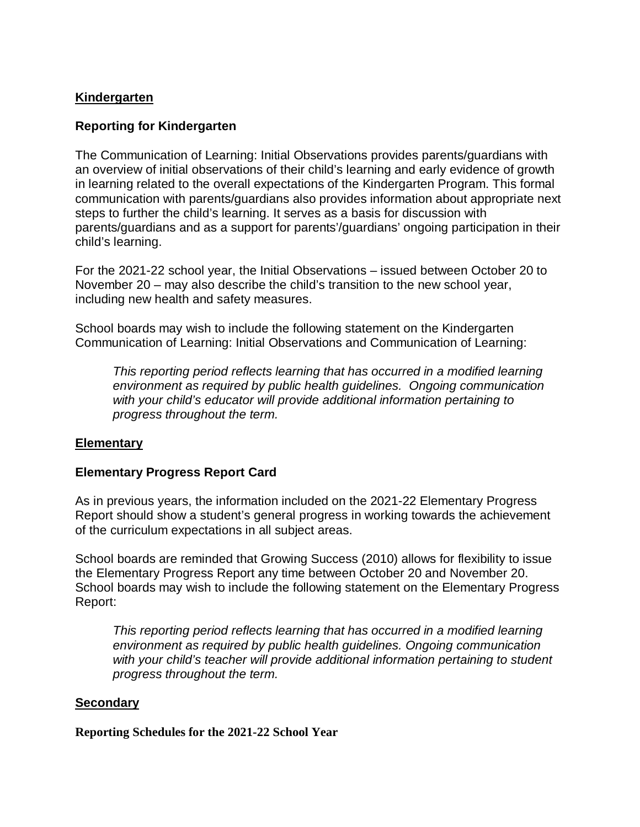# **Kindergarten**

# **Reporting for Kindergarten**

The Communication of Learning: Initial Observations provides parents/guardians with an overview of initial observations of their child's learning and early evidence of growth in learning related to the overall expectations of the Kindergarten Program. This formal communication with parents/guardians also provides information about appropriate next steps to further the child's learning. It serves as a basis for discussion with parents/guardians and as a support for parents'/guardians' ongoing participation in their child's learning.

For the 2021-22 school year, the Initial Observations – issued between October 20 to November 20 – may also describe the child's transition to the new school year, including new health and safety measures.

School boards may wish to include the following statement on the Kindergarten Communication of Learning: Initial Observations and Communication of Learning:

*This reporting period reflects learning that has occurred in a modified learning environment as required by public health guidelines. Ongoing communication with your child's educator will provide additional information pertaining to progress throughout the term.*

### **Elementary**

### **Elementary Progress Report Card**

As in previous years, the information included on the 2021-22 Elementary Progress Report should show a student's general progress in working towards the achievement of the curriculum expectations in all subject areas.

School boards are reminded that Growing Success (2010) allows for flexibility to issue the Elementary Progress Report any time between October 20 and November 20. School boards may wish to include the following statement on the Elementary Progress Report:

*This reporting period reflects learning that has occurred in a modified learning environment as required by public health guidelines. Ongoing communication with your child's teacher will provide additional information pertaining to student progress throughout the term.*

### **Secondary**

**Reporting Schedules for the 2021-22 School Year**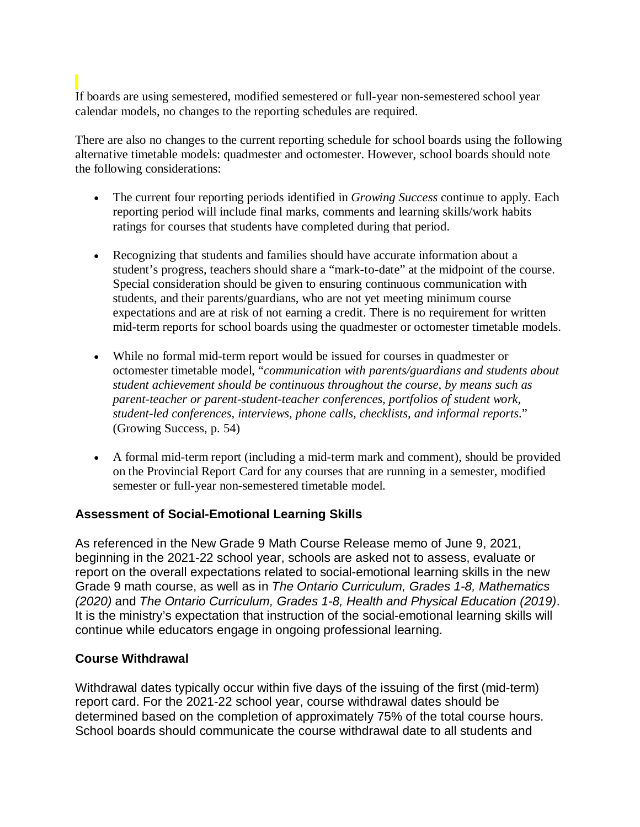# If boards are using semestered, modified semestered or full-year non-semestered school year calendar models, no changes to the reporting schedules are required.

There are also no changes to the current reporting schedule for school boards using the following alternative timetable models: quadmester and octomester. However, school boards should note the following considerations:

- The current four reporting periods identified in *Growing Success* continue to apply. Each reporting period will include final marks, comments and learning skills/work habits ratings for courses that students have completed during that period.
- Recognizing that students and families should have accurate information about a student's progress, teachers should share a "mark-to-date" at the midpoint of the course. Special consideration should be given to ensuring continuous communication with students, and their parents/guardians, who are not yet meeting minimum course expectations and are at risk of not earning a credit. There is no requirement for written mid-term reports for school boards using the quadmester or octomester timetable models.
- While no formal mid-term report would be issued for courses in quadmester or octomester timetable model, "*communication with parents/guardians and students about student achievement should be continuous throughout the course, by means such as parent-teacher or parent-student-teacher conferences, portfolios of student work, student-led conferences, interviews, phone calls, checklists, and informal reports*." (Growing Success, p. 54)
- A formal mid-term report (including a mid-term mark and comment), should be provided on the Provincial Report Card for any courses that are running in a semester, modified semester or full-year non-semestered timetable model.

# **Assessment of Social-Emotional Learning Skills**

As referenced in the New Grade 9 Math Course Release memo of June 9, 2021, beginning in the 2021-22 school year, schools are asked not to assess, evaluate or report on the overall expectations related to social-emotional learning skills in the new Grade 9 math course, as well as in *The Ontario Curriculum, Grades 1-8, Mathematics (2020)* and *The Ontario Curriculum, Grades 1-8, Health and Physical Education (2019)*. It is the ministry's expectation that instruction of the social-emotional learning skills will continue while educators engage in ongoing professional learning.

### **Course Withdrawal**

Withdrawal dates typically occur within five days of the issuing of the first (mid-term) report card. For the 2021-22 school year, course withdrawal dates should be determined based on the completion of approximately 75% of the total course hours. School boards should communicate the course withdrawal date to all students and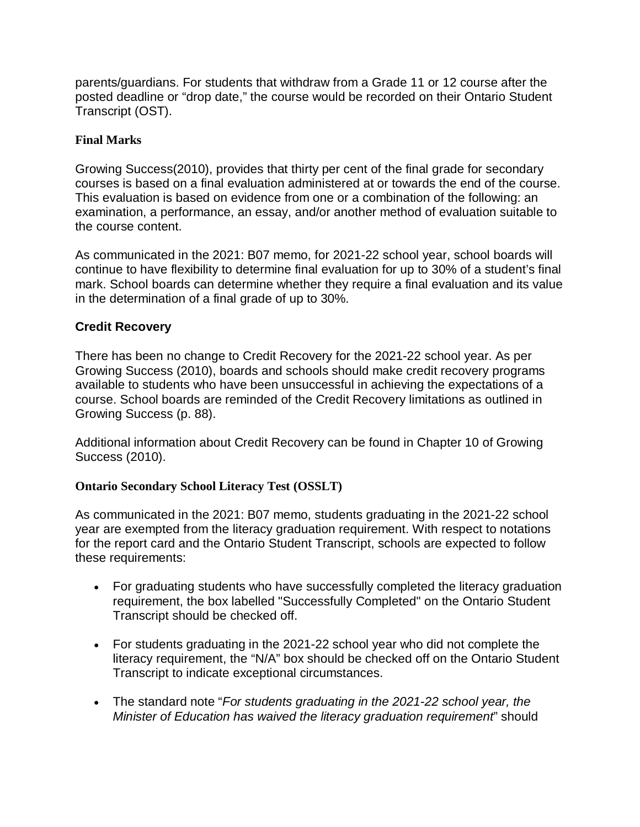parents/guardians. For students that withdraw from a Grade 11 or 12 course after the posted deadline or "drop date," the course would be recorded on their Ontario Student Transcript (OST).

# **Final Marks**

Growing Success(2010), provides that thirty per cent of the final grade for secondary courses is based on a final evaluation administered at or towards the end of the course. This evaluation is based on evidence from one or a combination of the following: an examination, a performance, an essay, and/or another method of evaluation suitable to the course content.

As communicated in the 2021: B07 memo, for 2021-22 school year, school boards will continue to have flexibility to determine final evaluation for up to 30% of a student's final mark. School boards can determine whether they require a final evaluation and its value in the determination of a final grade of up to 30%.

# **Credit Recovery**

There has been no change to Credit Recovery for the 2021-22 school year. As per Growing Success (2010), boards and schools should make credit recovery programs available to students who have been unsuccessful in achieving the expectations of a course. School boards are reminded of the Credit Recovery limitations as outlined in Growing Success (p. 88).

Additional information about Credit Recovery can be found in Chapter 10 of Growing Success (2010).

### **Ontario Secondary School Literacy Test (OSSLT)**

As communicated in the 2021: B07 memo, students graduating in the 2021-22 school year are exempted from the literacy graduation requirement. With respect to notations for the report card and the Ontario Student Transcript, schools are expected to follow these requirements:

- For graduating students who have successfully completed the literacy graduation requirement, the box labelled "Successfully Completed" on the Ontario Student Transcript should be checked off.
- For students graduating in the 2021-22 school year who did not complete the literacy requirement, the "N/A" box should be checked off on the Ontario Student Transcript to indicate exceptional circumstances.
- The standard note "*For students graduating in the 2021-22 school year, the Minister of Education has waived the literacy graduation requirement*" should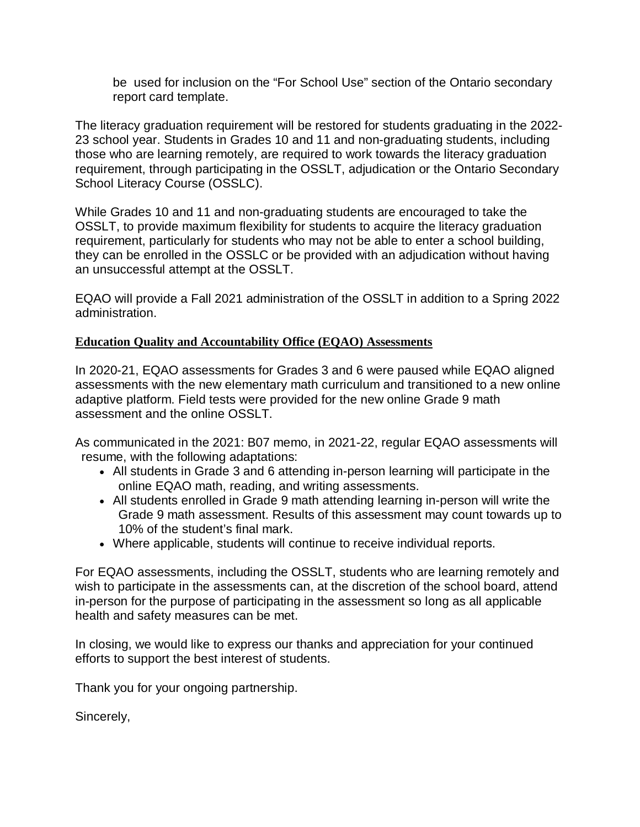be used for inclusion on the "For School Use" section of the Ontario secondary report card template.

The literacy graduation requirement will be restored for students graduating in the 2022- 23 school year. Students in Grades 10 and 11 and non-graduating students, including those who are learning remotely, are required to work towards the literacy graduation requirement, through participating in the OSSLT, adjudication or the Ontario Secondary School Literacy Course (OSSLC).

While Grades 10 and 11 and non-graduating students are encouraged to take the OSSLT, to provide maximum flexibility for students to acquire the literacy graduation requirement, particularly for students who may not be able to enter a school building, they can be enrolled in the OSSLC or be provided with an adjudication without having an unsuccessful attempt at the OSSLT.

EQAO will provide a Fall 2021 administration of the OSSLT in addition to a Spring 2022 administration.

#### **Education Quality and Accountability Office (EQAO) Assessments**

In 2020-21, EQAO assessments for Grades 3 and 6 were paused while EQAO aligned assessments with the new elementary math curriculum and transitioned to a new online adaptive platform. Field tests were provided for the new online Grade 9 math assessment and the online OSSLT.

As communicated in the 2021: B07 memo, in 2021-22, regular EQAO assessments will resume, with the following adaptations:

- All students in Grade 3 and 6 attending in-person learning will participate in the online EQAO math, reading, and writing assessments.
- All students enrolled in Grade 9 math attending learning in-person will write the Grade 9 math assessment. Results of this assessment may count towards up to 10% of the student's final mark.
- Where applicable, students will continue to receive individual reports.

For EQAO assessments, including the OSSLT, students who are learning remotely and wish to participate in the assessments can, at the discretion of the school board, attend in-person for the purpose of participating in the assessment so long as all applicable health and safety measures can be met.

In closing, we would like to express our thanks and appreciation for your continued efforts to support the best interest of students.

Thank you for your ongoing partnership.

Sincerely,